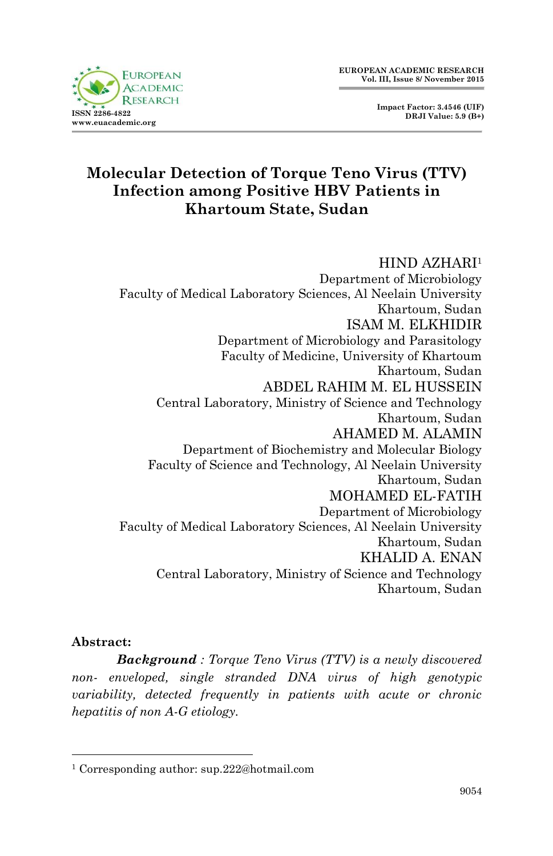



## **Molecular Detection of Torque Teno Virus (TTV) Infection among Positive HBV Patients in Khartoum State, Sudan**

#### HIND AZHARI<sup>1</sup>

Department of Microbiology Faculty of Medical Laboratory Sciences, Al Neelain University Khartoum, Sudan ISAM M. ELKHIDIR Department of Microbiology and Parasitology Faculty of Medicine, University of Khartoum Khartoum, Sudan ABDEL RAHIM M. EL HUSSEIN Central Laboratory, Ministry of Science and Technology Khartoum, Sudan AHAMED M. ALAMIN Department of Biochemistry and Molecular Biology Faculty of Science and Technology, Al Neelain University Khartoum, Sudan MOHAMED EL-FATIH Department of Microbiology Faculty of Medical Laboratory Sciences, Al Neelain University Khartoum, Sudan KHALID A. ENAN Central Laboratory, Ministry of Science and Technology Khartoum, Sudan

#### **Abstract:**

1

*Background : Torque Teno Virus (TTV) is a newly discovered non- enveloped, single stranded DNA virus of high genotypic variability, detected frequently in patients with acute or chronic hepatitis of non A-G etiology.*

<sup>1</sup> Corresponding author: sup.222@hotmail.com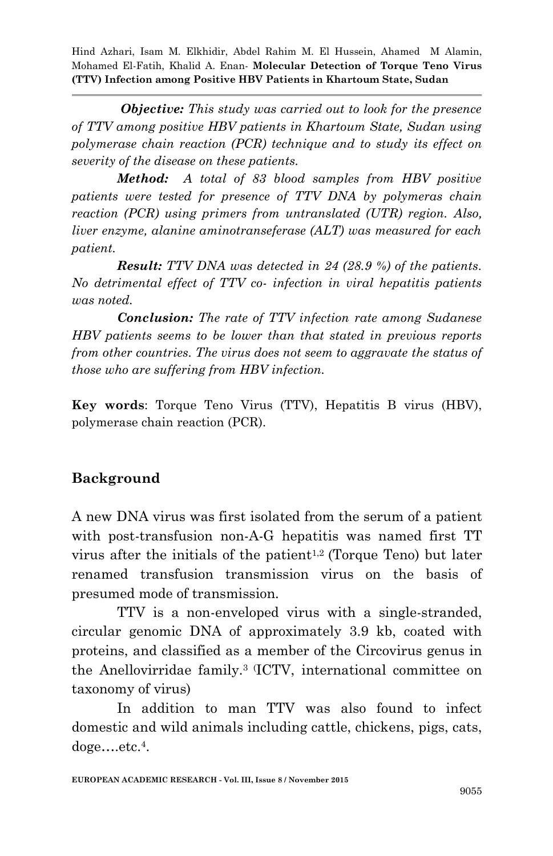*Objective: This study was carried out to look for the presence of TTV among positive HBV patients in Khartoum State, Sudan using polymerase chain reaction (PCR) technique and to study its effect on severity of the disease on these patients.*

*Method: A total of 83 blood samples from HBV positive patients were tested for presence of TTV DNA by polymeras chain reaction (PCR) using primers from untranslated (UTR) region. Also, liver enzyme, alanine aminotranseferase (ALT) was measured for each patient.*

*Result: TTV DNA was detected in 24 (28.9 %) of the patients. No detrimental effect of TTV co- infection in viral hepatitis patients was noted.*

*Conclusion: The rate of TTV infection rate among Sudanese HBV patients seems to be lower than that stated in previous reports from other countries. The virus does not seem to aggravate the status of those who are suffering from HBV infection.*

**Key words**: Torque Teno Virus (TTV), Hepatitis B virus (HBV), polymerase chain reaction (PCR).

## **Background**

A new DNA virus was first isolated from the serum of a patient with post-transfusion non-A-G hepatitis was named first TT virus after the initials of the patient<sup>1,2</sup> (Torque Teno) but later renamed transfusion transmission virus on the basis of presumed mode of transmission.

TTV is a non-enveloped virus with a single-stranded, circular genomic DNA of approximately 3.9 kb, coated with proteins, and classified as a member of the Circovirus genus in the Anellovirridae family.<sup>3</sup> (ICTV, international committee on taxonomy of virus)

In addition to man TTV was also found to infect domestic and wild animals including cattle, chickens, pigs, cats, doge….etc.<sup>4</sup> .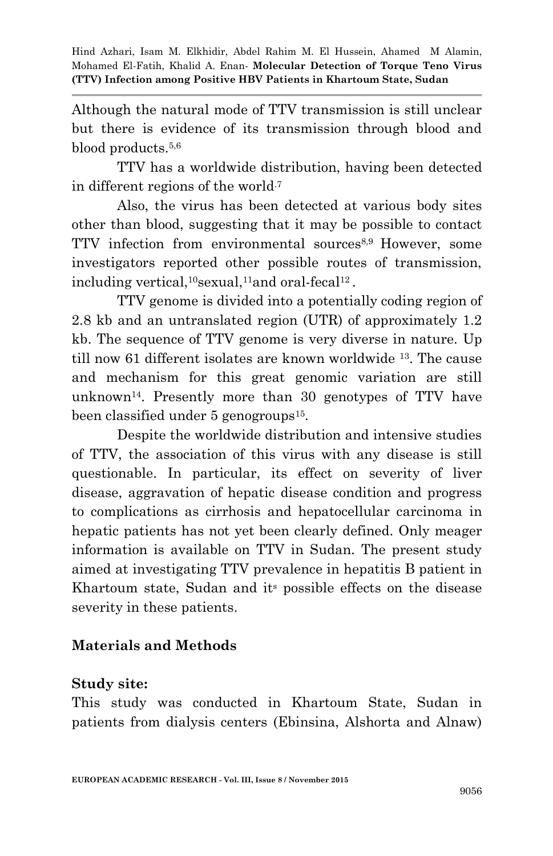Although the natural mode of TTV transmission is still unclear but there is evidence of its transmission through blood and blood products.5,6

TTV has a worldwide distribution, having been detected in different regions of the world.7

Also, the virus has been detected at various body sites other than blood, suggesting that it may be possible to contact TTV infection from environmental sources8,9 However, some investigators reported other possible routes of transmission, including vertical,  ${}^{10}$ sexual, ${}^{11}$ and oral-fecal ${}^{12}$ .

TTV genome is divided into a potentially coding region of 2.8 kb and an untranslated region (UTR) of approximately 1.2 kb. The sequence of TTV genome is very diverse in nature. Up till now 61 different isolates are known worldwide <sup>13</sup>. The cause and mechanism for this great genomic variation are still unknown<sup>14</sup> . Presently more than 30 genotypes of TTV have been classified under 5 genogroups<sup>15</sup>.

Despite the worldwide distribution and intensive studies of TTV, the association of this virus with any disease is still questionable. In particular, its effect on severity of liver disease, aggravation of hepatic disease condition and progress to complications as cirrhosis and hepatocellular carcinoma in hepatic patients has not yet been clearly defined. Only meager information is available on TTV in Sudan. The present study aimed at investigating TTV prevalence in hepatitis B patient in Khartoum state, Sudan and its possible effects on the disease severity in these patients.

## **Materials and Methods**

#### **Study site:**

This study was conducted in Khartoum State, Sudan in patients from dialysis centers (Ebinsina, Alshorta and Alnaw)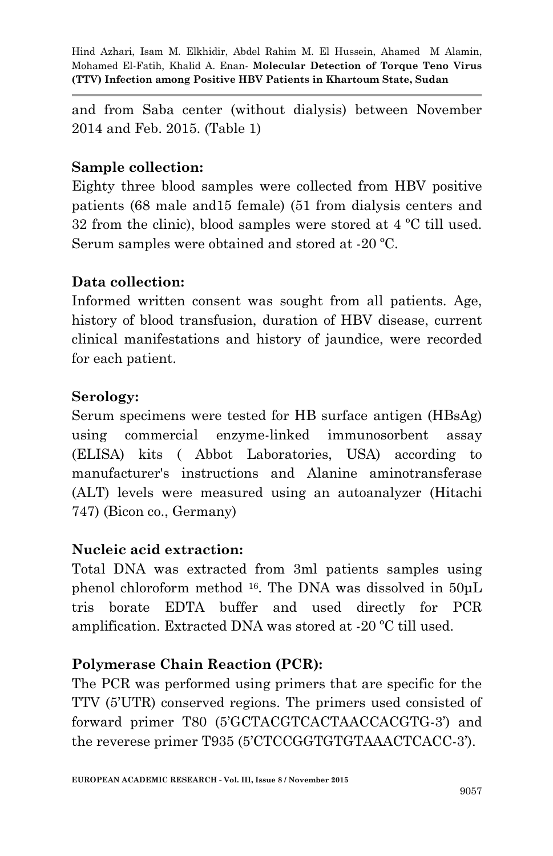and from Saba center (without dialysis) between November 2014 and Feb. 2015. (Table 1)

#### **Sample collection:**

Eighty three blood samples were collected from HBV positive patients (68 male and15 female) (51 from dialysis centers and 32 from the clinic), blood samples were stored at 4 ºC till used. Serum samples were obtained and stored at -20 ºC.

### **Data collection:**

Informed written consent was sought from all patients. Age, history of blood transfusion, duration of HBV disease, current clinical manifestations and history of jaundice, were recorded for each patient.

### **Serology:**

Serum specimens were tested for HB surface antigen (HBsAg) using commercial enzyme-linked immunosorbent assay (ELISA) kits ( Abbot Laboratories, USA) according to manufacturer's instructions and Alanine aminotransferase (ALT) levels were measured using an autoanalyzer (Hitachi 747) (Bicon co., Germany)

#### **Nucleic acid extraction:**

Total DNA was extracted from 3ml patients samples using phenol chloroform method <sup>16</sup> . The DNA was dissolved in 50μL tris borate EDTA buffer and used directly for PCR amplification. Extracted DNA was stored at -20 ºC till used.

## **Polymerase Chain Reaction (PCR):**

The PCR was performed using primers that are specific for the TTV (5'UTR) conserved regions. The primers used consisted of forward primer T80 (5'GCTACGTCACTAACCACGTG-3') and the reverese primer T935 (5'CTCCGGTGTGTAAACTCACC-3').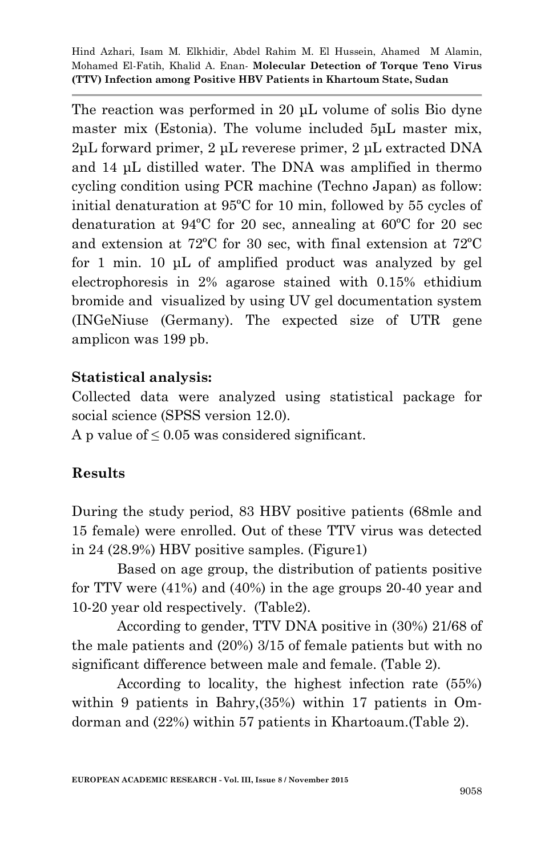The reaction was performed in 20 uL volume of solis Bio dyne master mix (Estonia). The volume included  $5\mu$ L master mix, 2μL forward primer, 2 μL reverese primer, 2 μL extracted DNA and 14 μL distilled water. The DNA was amplified in thermo cycling condition using PCR machine (Techno Japan) as follow: initial denaturation at 95ºC for 10 min, followed by 55 cycles of denaturation at 94ºC for 20 sec, annealing at 60ºC for 20 sec and extension at 72ºC for 30 sec, with final extension at 72ºC for 1 min. 10 μL of amplified product was analyzed by gel electrophoresis in 2% agarose stained with 0.15% ethidium bromide and visualized by using UV gel documentation system (INGeNiuse (Germany). The expected size of UTR gene amplicon was 199 pb.

### **Statistical analysis:**

Collected data were analyzed using statistical package for social science (SPSS version 12.0).

A p value of  $\leq 0.05$  was considered significant.

## **Results**

During the study period, 83 HBV positive patients (68mle and 15 female) were enrolled. Out of these TTV virus was detected in 24 (28.9%) HBV positive samples. (Figure1)

Based on age group, the distribution of patients positive for TTV were (41%) and (40%) in the age groups 20-40 year and 10-20 year old respectively. (Table2).

According to gender, TTV DNA positive in (30%) 21/68 of the male patients and (20%) 3/15 of female patients but with no significant difference between male and female. (Table 2).

According to locality, the highest infection rate (55%) within 9 patients in Bahry,(35%) within 17 patients in Omdorman and (22%) within 57 patients in Khartoaum.(Table 2).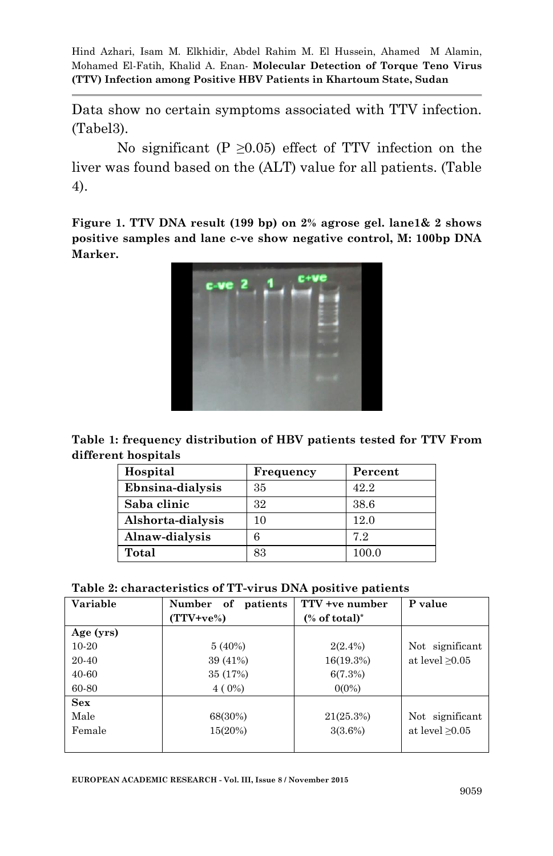Data show no certain symptoms associated with TTV infection. (Tabel3).

No significant (P  $\geq$ 0.05) effect of TTV infection on the liver was found based on the (ALT) value for all patients. (Table 4).

**Figure 1. TTV DNA result (199 bp) on 2% agrose gel. lane1& 2 shows positive samples and lane c-ve show negative control, M: 100bp DNA Marker.**



**Table 1: frequency distribution of HBV patients tested for TTV From different hospitals**

| Hospital          | Frequency | Percent |
|-------------------|-----------|---------|
| Ebnsina-dialysis  | 35        | 42.2    |
| Saba clinic       | 32        | 38.6    |
| Alshorta-dialysis | 10        | 12.0    |
| Alnaw-dialysis    |           | 7.2     |
| Total             | 83        | 100.0   |

**Table 2: characteristics of TT-virus DNA positive patients**

| Variable  | Number of<br>patients | TTV +ye number             | P value              |
|-----------|-----------------------|----------------------------|----------------------|
|           | $(TTV + ve\%)$        | $%$ of total) <sup>*</sup> |                      |
| Age (yrs) |                       |                            |                      |
| $10-20$   | $5(40\%)$             | $2(2.4\%)$                 | Not significant      |
| 20-40     | 39 (41%)              | 16(19.3%)                  | at level $\geq 0.05$ |
| 40-60     | 35 (17%)              | 6(7.3%)                    |                      |
| 60-80     | $4(0\%)$              | $0(0\%)$                   |                      |
| Sex       |                       |                            |                      |
| Male      | 68(30%)               | 21(25.3%)                  | Not significant      |
| Female    | 15(20%)               | 3(3.6%)                    | at level $\geq 0.05$ |
|           |                       |                            |                      |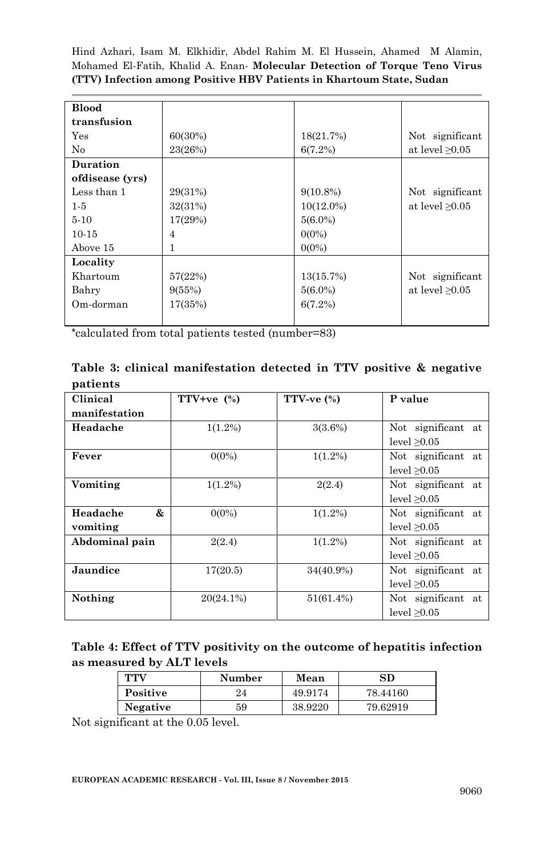| <b>Blood</b>    |                |                                    |                      |
|-----------------|----------------|------------------------------------|----------------------|
| transfusion     |                |                                    |                      |
| Yes             | 60(30%)        | 18(21.7%)                          | Not significant      |
| No              | 23(26%)        | 6(7.2%)                            | at level $\geq 0.05$ |
| Duration        |                |                                    |                      |
| ofdisease (yrs) |                |                                    |                      |
| Less than 1     | 29(31%)        | $9(10.8\%)$                        | Not significant      |
| $1-5$           | 32(31%)        | $10(12.0\%)$                       | at level $\geq 0.05$ |
| $5-10$          | 17(29%)        | $5(6.0\%)$                         |                      |
| $10-15$         | $\overline{4}$ | $0(0\%)$                           |                      |
| Above 15        | 1              | $0(0\%)$                           |                      |
| Locality        |                |                                    |                      |
| Khartoum        | 57(22%)        | 13(15.7%)                          | Not significant      |
| Bahry           | 9(55%)         | at level $\geq 0.05$<br>$5(6.0\%)$ |                      |
| Om-dorman       | 17(35%)        | 6(7.2%)                            |                      |
|                 |                |                                    |                      |

**\***calculated from total patients tested (number=83)

| Table 3: clinical manifestation detected in TTV positive & negative |  |  |  |  |
|---------------------------------------------------------------------|--|--|--|--|
| patients                                                            |  |  |  |  |

| Clinical       | TTV+ve $(\%)$ | TTV-ve $(\%)$ | P value            |
|----------------|---------------|---------------|--------------------|
| manifestation  |               |               |                    |
| Headache       | $1(1.2\%)$    | 3(3.6%)       | Not significant at |
|                |               |               | level $\geq 0.05$  |
| Fever          | $0(0\%)$      | $1(1.2\%)$    | Not significant at |
|                |               |               | level $\geq 0.05$  |
| Vomiting       | $1(1.2\%)$    | 2(2.4)        | Not significant at |
|                |               |               | level $\geq 0.05$  |
| &<br>Headache  | $0(0\%)$      | $1(1.2\%)$    | Not significant at |
| vomiting       |               |               | level $\geq 0.05$  |
| Abdominal pain | 2(2.4)        | $1(1.2\%)$    | Not significant at |
|                |               |               | level > 0.05       |
| Jaundice       | 17(20.5)      | 34(40.9%)     | Not significant at |
|                |               |               | level $\geq 0.05$  |
| Nothing        | $20(24.1\%)$  | 51(61.4%)     | Not significant at |
|                |               |               | level $\geq 0.05$  |

| Table 4: Effect of TTV positivity on the outcome of hepatitis infection |
|-------------------------------------------------------------------------|
| as measured by ALT levels                                               |

| TTV      | Number | Mean    | SD       |
|----------|--------|---------|----------|
| Positive | 24     | 49.9174 | 78.44160 |
| Negative | 59     | 38.9220 | 79.62919 |

Not significant at the 0.05 level.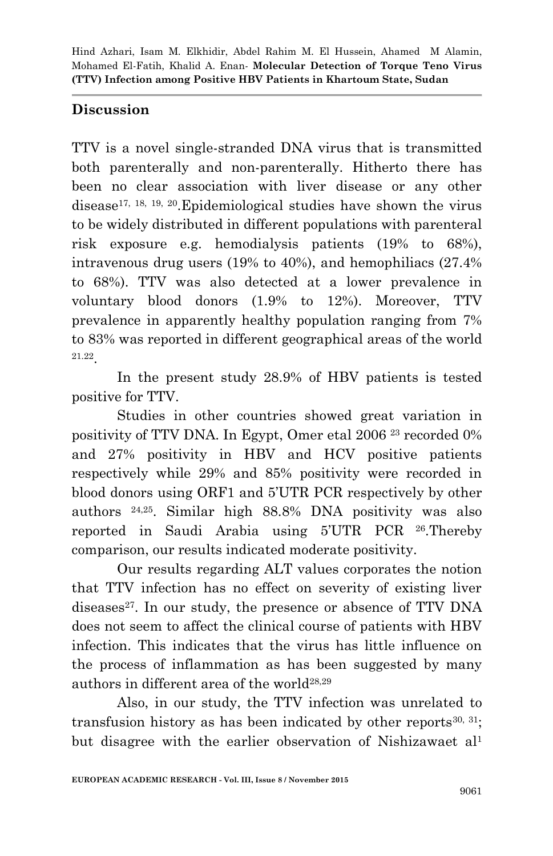### **Discussion**

TTV is a novel single-stranded DNA virus that is transmitted both parenterally and non-parenterally. Hitherto there has been no clear association with liver disease or any other disease<sup>17, 18, 19, 20</sup>. Epidemiological studies have shown the virus to be widely distributed in different populations with parenteral risk exposure e.g. hemodialysis patients (19% to 68%), intravenous drug users (19% to 40%), and hemophiliacs (27.4% to 68%). TTV was also detected at a lower prevalence in voluntary blood donors (1.9% to 12%). Moreover, TTV prevalence in apparently healthy population ranging from 7% to 83% was reported in different geographical areas of the world 21.22 .

In the present study 28.9% of HBV patients is tested positive for TTV.

Studies in other countries showed great variation in positivity of TTV DNA. In Egypt, Omer etal 2006 <sup>23</sup> recorded 0% and 27% positivity in HBV and HCV positive patients respectively while 29% and 85% positivity were recorded in blood donors using ORF1 and 5'UTR PCR respectively by other authors 24,25. Similar high 88.8% DNA positivity was also reported in Saudi Arabia using 5'UTR PCR <sup>26</sup> .Thereby comparison, our results indicated moderate positivity.

Our results regarding ALT values corporates the notion that TTV infection has no effect on severity of existing liver diseases<sup>27</sup>. In our study, the presence or absence of TTV DNA does not seem to affect the clinical course of patients with HBV infection. This indicates that the virus has little influence on the process of inflammation as has been suggested by many authors in different area of the world28,29

Also, in our study, the TTV infection was unrelated to transfusion history as has been indicated by other reports<sup>30, 31</sup>; but disagree with the earlier observation of Nishizawaet al<sup>1</sup>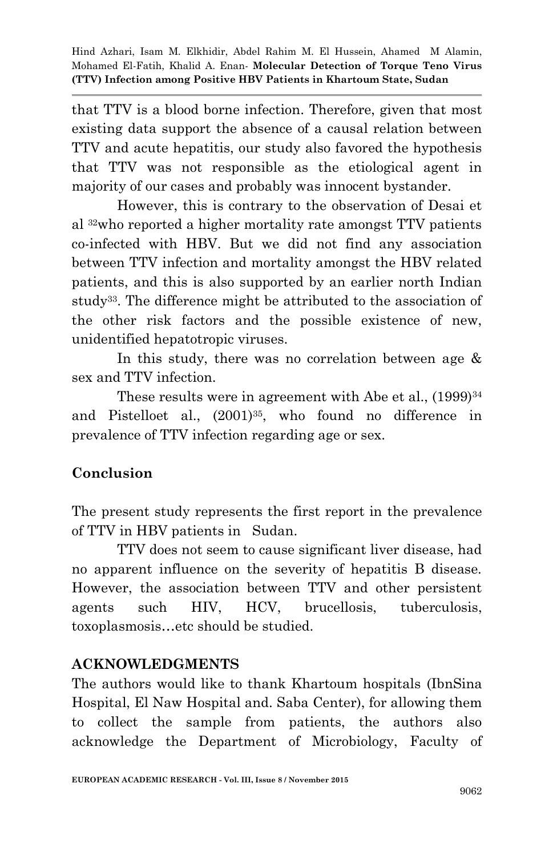that TTV is a blood borne infection. Therefore, given that most existing data support the absence of a causal relation between TTV and acute hepatitis, our study also favored the hypothesis that TTV was not responsible as the etiological agent in majority of our cases and probably was innocent bystander.

However, this is contrary to the observation of Desai et al 32who reported a higher mortality rate amongst TTV patients co-infected with HBV. But we did not find any association between TTV infection and mortality amongst the HBV related patients, and this is also supported by an earlier north Indian study33. The difference might be attributed to the association of the other risk factors and the possible existence of new, unidentified hepatotropic viruses.

In this study, there was no correlation between age & sex and TTV infection.

These results were in agreement with Abe et al.,  $(1999)^{34}$ and Pistelloet al.,  $(2001)^{35}$ , who found no difference in prevalence of TTV infection regarding age or sex.

# **Conclusion**

The present study represents the first report in the prevalence of TTV in HBV patients in Sudan.

TTV does not seem to cause significant liver disease, had no apparent influence on the severity of hepatitis B disease. However, the association between TTV and other persistent agents such HIV, HCV, brucellosis, tuberculosis, toxoplasmosis…etc should be studied.

## **ACKNOWLEDGMENTS**

The authors would like to thank Khartoum hospitals (IbnSina Hospital, El Naw Hospital and. Saba Center), for allowing them to collect the sample from patients, the authors also acknowledge the Department of Microbiology, Faculty of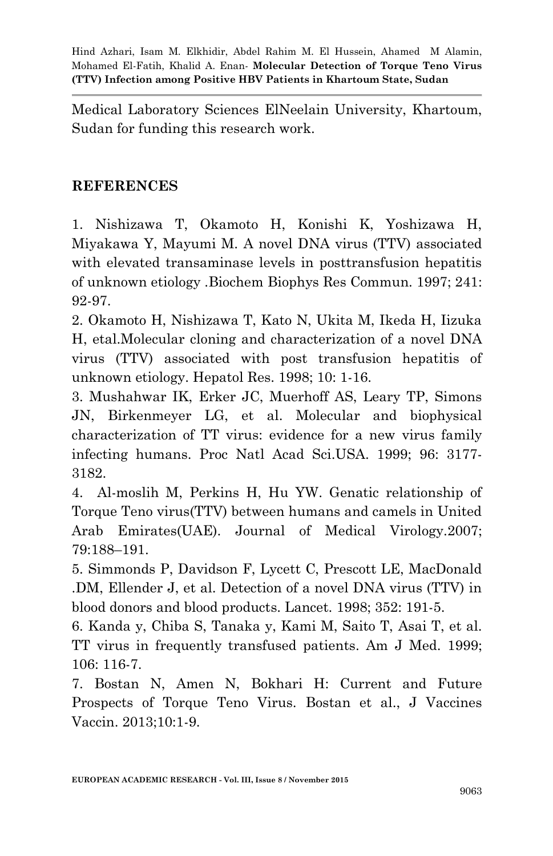Medical Laboratory Sciences ElNeelain University, Khartoum, Sudan for funding this research work.

## **REFERENCES**

1. Nishizawa T, Okamoto H, Konishi K, Yoshizawa H, Miyakawa Y, Mayumi M. A novel DNA virus (TTV) associated with elevated transaminase levels in posttransfusion hepatitis of unknown etiology .Biochem Biophys Res Commun. 1997; 241: 92-97.

2. Okamoto H, Nishizawa T, Kato N, Ukita M, Ikeda H, Iizuka H, etal.Molecular cloning and characterization of a novel DNA virus (TTV) associated with post transfusion hepatitis of unknown etiology. Hepatol Res. 1998; 10: 1-16.

3. Mushahwar IK, Erker JC, Muerhoff AS, Leary TP, Simons JN, Birkenmeyer LG, et al. Molecular and biophysical characterization of TT virus: evidence for a new virus family infecting humans. Proc Natl Acad Sci.USA. 1999; 96: 3177- 3182.

4. Al-moslih M, Perkins H, Hu YW. Genatic relationship of Torque Teno virus(TTV) between humans and camels in United Arab Emirates(UAE). Journal of Medical Virology.2007; 79:188–191.

5. Simmonds P, Davidson F, Lycett C, Prescott LE, MacDonald .DM, Ellender J, et al. Detection of a novel DNA virus (TTV) in blood donors and blood products. Lancet. 1998; 352: 191-5.

6. Kanda y, Chiba S, Tanaka y, Kami M, Saito T, Asai T, et al. TT virus in frequently transfused patients. Am J Med. 1999; 106: 116-7.

7. Bostan N, Amen N, Bokhari H: Current and Future Prospects of Torque Teno Virus. Bostan et al., J Vaccines Vaccin. 2013;10:1-9.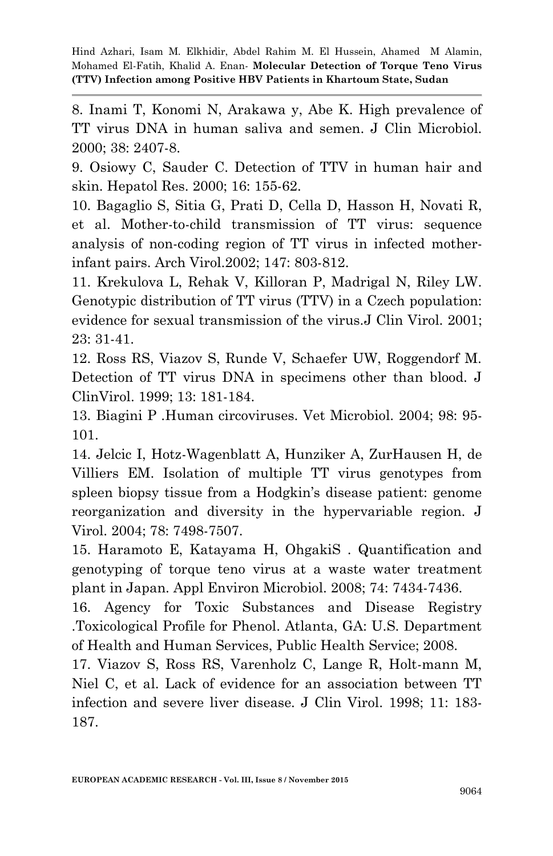8. Inami T, Konomi N, Arakawa y, Abe K. High prevalence of TT virus DNA in human saliva and semen. J Clin Microbiol. 2000; 38: 2407-8.

9. Osiowy C, Sauder C. Detection of TTV in human hair and skin. Hepatol Res. 2000; 16: 155-62.

10. Bagaglio S, Sitia G, Prati D, Cella D, Hasson H, Novati R, et al. Mother-to-child transmission of TT virus: sequence analysis of non-coding region of TT virus in infected motherinfant pairs. Arch Virol.2002; 147: 803-812.

11. Krekulova L, Rehak V, Killoran P, Madrigal N, Riley LW. Genotypic distribution of TT virus (TTV) in a Czech population: evidence for sexual transmission of the virus.J Clin Virol. 2001; 23: 31-41.

12. Ross RS, Viazov S, Runde V, Schaefer UW, Roggendorf M. Detection of TT virus DNA in specimens other than blood. J ClinVirol. 1999; 13: 181-184.

13. Biagini P .Human circoviruses. Vet Microbiol. 2004; 98: 95- 101.

14. Jelcic I, Hotz-Wagenblatt A, Hunziker A, ZurHausen H, de Villiers EM. Isolation of multiple TT virus genotypes from spleen biopsy tissue from a Hodgkin's disease patient: genome reorganization and diversity in the hypervariable region. J Virol. 2004; 78: 7498-7507.

15. Haramoto E, Katayama H, OhgakiS . Quantification and genotyping of torque teno virus at a waste water treatment plant in Japan. Appl Environ Microbiol. 2008; 74: 7434-7436.

16. Agency for Toxic Substances and Disease Registry .Toxicological Profile for Phenol. Atlanta, GA: U.S. Department of Health and Human Services, Public Health Service; 2008.

17. Viazov S, Ross RS, Varenholz C, Lange R, Holt-mann M, Niel C, et al. Lack of evidence for an association between TT infection and severe liver disease. J Clin Virol. 1998; 11: 183- 187.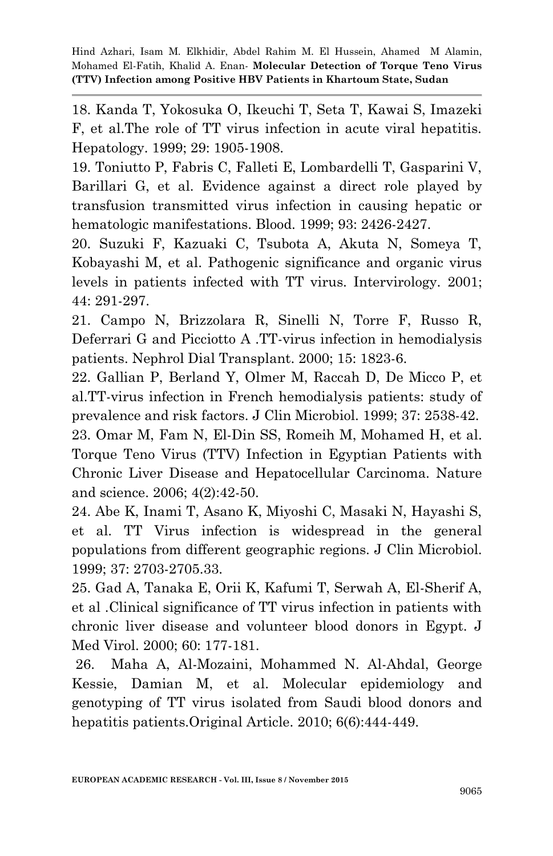18. Kanda T, Yokosuka O, Ikeuchi T, Seta T, Kawai S, Imazeki F, et al.The role of TT virus infection in acute viral hepatitis. Hepatology. 1999; 29: 1905-1908.

19. Toniutto P, Fabris C, Falleti E, Lombardelli T, Gasparini V, Barillari G, et al. Evidence against a direct role played by transfusion transmitted virus infection in causing hepatic or hematologic manifestations. Blood. 1999; 93: 2426-2427.

20. Suzuki F, Kazuaki C, Tsubota A, Akuta N, Someya T, Kobayashi M, et al. Pathogenic significance and organic virus levels in patients infected with TT virus. Intervirology. 2001; 44: 291-297.

21. Campo N, Brizzolara R, Sinelli N, Torre F, Russo R, Deferrari G and Picciotto A .TT-virus infection in hemodialysis patients. Nephrol Dial Transplant. 2000; 15: 1823-6.

22. Gallian P, Berland Y, Olmer M, Raccah D, De Micco P, et al.TT-virus infection in French hemodialysis patients: study of prevalence and risk factors. J Clin Microbiol. 1999; 37: 2538-42.

23. Omar M, Fam N, El-Din SS, Romeih M, Mohamed H, et al. Torque Teno Virus (TTV) Infection in Egyptian Patients with Chronic Liver Disease and Hepatocellular Carcinoma. Nature and science. 2006; 4(2):42-50.

24. Abe K, Inami T, Asano K, Miyoshi C, Masaki N, Hayashi S, et al. TT Virus infection is widespread in the general populations from different geographic regions. J Clin Microbiol. 1999; 37: 2703-2705.33.

25. Gad A, Tanaka E, Orii K, Kafumi T, Serwah A, El-Sherif A, et al .Clinical significance of TT virus infection in patients with chronic liver disease and volunteer blood donors in Egypt. J Med Virol. 2000; 60: 177-181.

26. Maha A, Al-Mozaini, Mohammed N. Al-Ahdal, George Kessie, Damian M, et al. Molecular epidemiology and genotyping of TT virus isolated from Saudi blood donors and hepatitis patients.Original Article. 2010; 6(6):444-449.